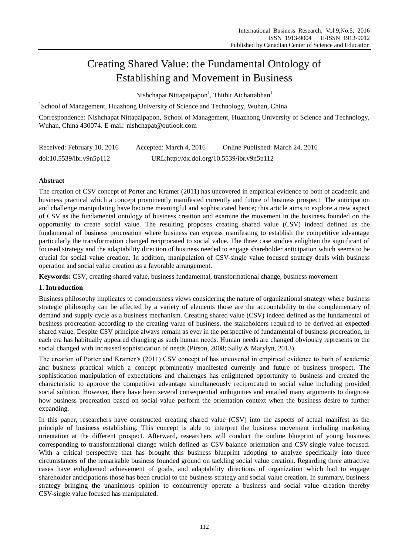# Creating Shared Value: the Fundamental Ontology of Establishing and Movement in Business

Nishchapat Nittapaipapon<sup>1</sup>, Thithit Atchattabhan<sup>1</sup>

<sup>1</sup>School of Management, Huazhong University of Science and Technology, Wuhan, China

Correspondence: Nishchapat Nittapaipapon, School of Management, Huazhong University of Science and Technology, Wuhan, China 430074. E-mail: nishchapat@outlook.com

| Received: February 10, 2016 | Accepted: March 4, 2016                    | Online Published: March 24, 2016 |
|-----------------------------|--------------------------------------------|----------------------------------|
| doi:10.5539/ibr.v9n5p112    | URL:http://dx.doi.org/10.5539/ibr.v9n5p112 |                                  |

## **Abstract**

The creation of CSV concept of Porter and Kramer (2011) has uncovered in empirical evidence to both of academic and business practical which a concept prominently manifested currently and future of business prospect. The anticipation and challenge manipulating have become meaningful and sophisticated hence; this article aims to explore a new aspect of CSV as the fundamental ontology of business creation and examine the movement in the business founded on the opportunity to create social value. The resulting proposes creating shared value (CSV) indeed defined as the fundamental of business procreation where business can express manifesting to establish the competitive advantage particularly the transformation changed reciprocated to social value. The three case studies enlighten the significant of focused strategy and the adaptability direction of business needed to engage shareholder anticipation which seems to be crucial for social value creation. In addition, manipulation of CSV-single value focused strategy deals with business operation and social value creation as a favorable arrangement.

**Keywords:** CSV, creating shared value, business fundamental, transformational change, business movement

## **1. Introduction**

Business philosophy implicates to consciousness views considering the nature of organizational strategy where business strategic philosophy can be affected by a variety of elements those are the accountability to the complementary of demand and supply cycle as a business mechanism. Creating shared value (CSV) indeed defined as the fundamental of business procreation according to the creating value of business, the stakeholders required to be derived an expected shared value. Despite CSV principle always remain as ever in the perspective of fundamental of business procreation, in each era has habitually appeared changing as such human needs. Human needs are changed obviously represents to the social changed with increased sophistication of needs (Pirson, 2008; Sally & Marylyn, 2013).

The creation of Porter and Kramer's (2011) CSV concept of has uncovered in empirical evidence to both of academic and business practical which a concept prominently manifested currently and future of business prospect. The sophistication manipulation of expectations and challenges has enlightened opportunity to business and created the characteristic to approve the competitive advantage simultaneously reciprocated to social value including provided social solution. However, there have been several consequential ambiguities and entailed many arguments to diagnose how business procreation based on social value perform the orientation context when the business desire to further expanding.

In this paper, researchers have constructed creating shared value (CSV) into the aspects of actual manifest as the principle of business establishing. This concept is able to interpret the business movement including marketing orientation at the different prospect. Afterward, researchers will conduct the outline blueprint of young business corresponding to transformational change which defined as CSV-balance orientation and CSV-single value focused. With a critical perspective that has brought this business blueprint adopting to analyze specifically into three circumstances of the remarkable business founded ground on tackling social value creation. Regarding three attractive cases have enlightened achievement of goals, and adaptability directions of organization which had to engage shareholder anticipations those has been crucial to the business strategy and social value creation. In summary, business strategy bringing the unanimous opinion to concurrently operate a business and social value creation thereby CSV-single value focused has manipulated.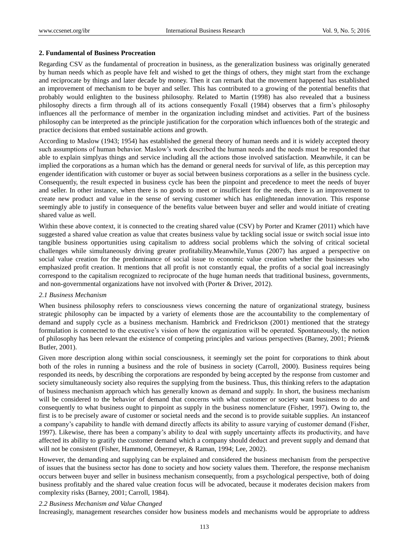## **2. Fundamental of Business Procreation**

Regarding CSV as the fundamental of procreation in business, as the generalization business was originally generated by human needs which as people have felt and wished to get the things of others, they might start from the exchange and reciprocate by things and later decade by money. Then it can remark that the movement happened has established an improvement of mechanism to be buyer and seller. This has contributed to a growing of the potential benefits that probably would enlighten to the business philosophy. Related to Martin (1998) has also revealed that a business philosophy directs a firm through all of its actions consequently Foxall (1984) observes that a firm's philosophy influences all the performance of member in the organization including mindset and activities. Part of the business philosophy can be interpreted as the principle justification for the corporation which influences both of the strategic and practice decisions that embed sustainable actions and growth.

According to Maslow (1943; 1954) has established the general theory of human needs and it is widely accepted theory such assumptions of human behavior. Maslow's work described the human needs and the needs must be responded that able to explain simplyas things and service including all the actions those involved satisfaction. Meanwhile, it can be implied the corporations as a human which has the demand or general needs for survival of life, as this perception may engender identification with customer or buyer as social between business corporations as a seller in the business cycle. Consequently, the result expected in business cycle has been the pinpoint and precedence to meet the needs of buyer and seller. In other instance, when there is no goods to meet or insufficient for the needs, there is an improvement to create new product and value in the sense of serving customer which has enlightenedan innovation. This response seemingly able to justify in consequence of the benefits value between buyer and seller and would initiate of creating shared value as well.

Within these above context, it is connected to the creating shared value (CSV) by Porter and Kramer (2011) which have suggested a shared value creation as value that creates business value by tackling social issue or switch social issue into tangible business opportunities using capitalism to address social problems which the solving of critical societal challenges while simultaneously driving greater profitability.Meanwhile,Yunus (2007) has argued a perspective on social value creation for the predominance of social issue to economic value creation whether the businesses who emphasized profit creation. It mentions that all profit is not constantly equal, the profits of a social goal increasingly correspond to the capitalism recognized to reciprocate of the huge human needs that traditional business, governments, and non-governmental organizations have not involved with (Porter & Driver, 2012).

## *2.1 Business Mechanism*

When business philosophy refers to consciousness views concerning the nature of organizational strategy, business strategic philosophy can be impacted by a variety of elements those are the accountability to the complementary of demand and supply cycle as a business mechanism. Hambrick and Fredrickson (2001) mentioned that the strategy formulation is connected to the executive's vision of how the organization will be operated. Spontaneously, the notion of philosophy has been relevant the existence of competing principles and various perspectives (Barney, 2001; Priem& Butler, 2001).

Given more description along within social consciousness, it seemingly set the point for corporations to think about both of the roles in running a business and the role of business in society (Carroll, 2000). Business requires being responded its needs, by describing the corporations are responded by being accepted by the response from customer and society simultaneously society also requires the supplying from the business. Thus, this thinking refers to the adaptation of business mechanism approach which has generally known as demand and supply. In short, the business mechanism will be considered to the behavior of demand that concerns with what customer or society want business to do and consequently to what business ought to pinpoint as supply in the business nomenclature (Fisher, 1997). Owing to, the first is to be precisely aware of customer or societal needs and the second is to provide suitable supplies. An instanceof a company's capability to handle with demand directly affects its ability to assure varying of customer demand (Fisher, 1997). Likewise, there has been a company's ability to deal with supply uncertainty affects its productivity, and have affected its ability to gratify the customer demand which a company should deduct and prevent supply and demand that will not be consistent (Fisher, Hammond, Obermeyer, & Raman, 1994; Lee, 2002).

However, the demanding and supplying can be explained and considered the business mechanism from the perspective of issues that the business sector has done to society and how society values them. Therefore, the response mechanism occurs between buyer and seller in business mechanism consequently, from a psychological perspective, both of doing business profitably and the shared value creation focus will be advocated, because it moderates decision makers from complexity risks (Barney, 2001; Carroll, 1984).

## *2.2 Business Mechanism and Value Changed*

Increasingly, management researches consider how business models and mechanisms would be appropriate to address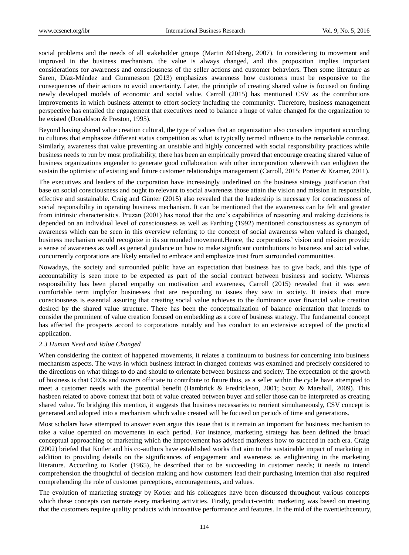social problems and the needs of all stakeholder groups (Martin &Osberg, 2007). In considering to movement and improved in the business mechanism, the value is always changed, and this proposition implies important considerations for awareness and consciousness of the seller actions and customer behaviors. Then some literature as Saren, Díaz-Méndez and Gummesson (2013) emphasizes awareness how customers must be responsive to the consequences of their actions to avoid uncertainty. Later, the principle of creating shared value is focused on finding newly developed models of economic and social value. Carroll (2015) has mentioned CSV as the contributions improvements in which business attempt to effort society including the community. Therefore, business management perspective has entailed the engagement that executives need to balance a huge of value changed for the organization to be existed (Donaldson & Preston, 1995).

Beyond having shared value creation cultural, the type of values that an organization also considers important according to cultures that emphasize different status competition as what is typically termed influence to the remarkable contrast. Similarly, awareness that value preventing an unstable and highly concerned with social responsibility practices while business needs to run by most profitability, there has been an empirically proved that encourage creating shared value of business organizations engender to generate good collaboration with other incorporation wherewith can enlighten the sustain the optimistic of existing and future customer relationships management (Carroll, 2015; Porter & Kramer, 2011).

The executives and leaders of the corporation have increasingly underlined on the business strategy justification that base on social consciousness and ought to relevant to social awareness those attain the vision and mission in responsible, effective and sustainable. Craig and Günter (2015) also revealed that the leadership is necessary for consciousness of social responsibility in operating business mechanism. It can be mentioned that the awareness can be felt and greater from intrinsic characteristics. Pruzan (2001) has noted that the one's capabilities of reasoning and making decisions is depended on an individual level of consciousness as well as Farthing (1992) mentioned consciousness as synonym of awareness which can be seen in this overview referring to the concept of social awareness when valued is changed, business mechanism would recognize in its surrounded movement.Hence, the corporations' vision and mission provide a sense of awareness as well as general guidance on how to make significant contributions to business and social value, concurrently corporations are likely entailed to embrace and emphasize trust from surrounded communities.

Nowadays, the society and surrounded public have an expectation that business has to give back, and this type of accountability is seen more to be expected as part of the social contract between business and society. Whereas responsibility has been placed empathy on motivation and awareness, Carroll (2015) revealed that it was seen comfortable term implyfor businesses that are responding to issues they saw in society. It insists that more consciousness is essential assuring that creating social value achieves to the dominance over financial value creation desired by the shared value structure. There has been the conceptualization of balance orientation that intends to consider the prominent of value creation focused on embedding as a core of business strategy. The fundamental concept has affected the prospects accord to corporations notably and has conduct to an extensive accepted of the practical application.

#### *2.3 Human Need and Value Changed*

When considering the context of happened movements, it relates a continuum to business for concerning into business mechanism aspects. The ways in which business interact in changed contexts was examined and precisely considered to the directions on what things to do and should to orientate between business and society. The expectation of the growth of business is that CEOs and owners officiate to contribute to future thus, as a seller within the cycle have attempted to meet a customer needs with the potential benefit (Hambrick & Fredrickson, 2001; Scott & Marshall, 2009). This hasbeen related to above context that both of value created between buyer and seller those can be interpreted as creating shared value. To bridging this mention, it suggests that business necessaries to reorient simultaneously, CSV concept is generated and adopted into a mechanism which value created will be focused on periods of time and generations.

Most scholars have attempted to answer even argue this issue that is it remain an important for business mechanism to take a value operated on movements in each period. For instance, marketing strategy has been defined the broad conceptual approaching of marketing which the improvement has advised marketers how to succeed in each era. Craig (2002) briefed that Kotler and his co-authors have established works that aim to the sustainable impact of marketing in addition to providing details on the significances of engagement and awareness as enlightening in the marketing literature. According to Kotler (1965), he described that to be succeeding in customer needs; it needs to intend comprehension the thoughtful of decision making and how customers lead their purchasing intention that also required comprehending the role of customer perceptions, encouragements, and values.

The evolution of marketing strategy by Kotler and his colleagues have been discussed throughout various concepts which these concepts can narrate every marketing activities. Firstly, product-centric marketing was based on meeting that the customers require quality products with innovative performance and features. In the mid of the twentiethcentury,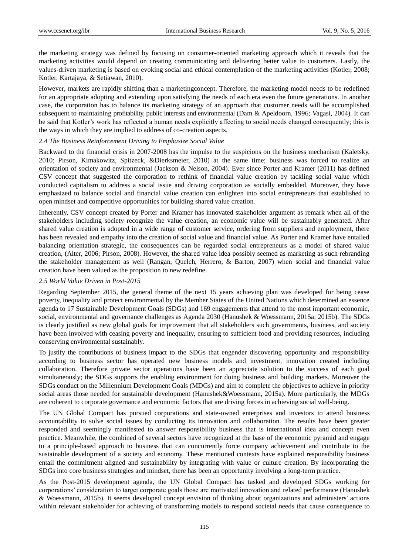the marketing strategy was defined by focusing on consumer-oriented marketing approach which it reveals that the marketing activities would depend on creating communicating and delivering better value to customers. Lastly, the values-driven marketing is based on evoking social and ethical contemplation of the marketing activities (Kotler, 2008; Kotler, Kartajaya, & Setiawan, 2010).

However, markets are rapidly shifting than a marketingconcept. Therefore, the marketing model needs to be redefined for an appropriate adopting and extending upon satisfying the needs of each era even the future generations. In another case, the corporation has to balance its marketing strategy of an approach that customer needs will be accomplished subsequent to maintaining profitability, public interests and environmental (Dam & Apeldoorn, 1996; Vagasi, 2004). It can be said that Kotler's work has reflected a human needs explicitly affecting to social needs changed consequently; this is the ways in which they are implied to address of co-creation aspects.

## *2.4 The Business Reinforcement Driving to Emphasize Social Value*

Backward to the financial crisis in 2007-2008 has the impulse to the suspicions on the business mechanism (Kaletsky, 2010; Pirson, Kimakowitz, Spitzeck, &Dierksmeier, 2010) at the same time; business was forced to realize an orientation of society and environmental (Jackson & Nelson, 2004). Ever since Porter and Kramer (2011) has defined CSV concept that suggested the corporation to rethink of financial value creation by tackling social value which conducted capitalism to address a social issue and driving corporation as socially embedded. Moreover, they have emphasized to balance social and financial value creation can enlighten into social entrepreneurs that established to open mindset and competitive opportunities for building shared value creation.

Inherently, CSV concept created by Porter and Kramer has innovated stakeholder argument as remark when all of the stakeholders including society recognize the value creation, an economic value will be sustainably generated. After shared value creation is adopted in a wide range of customer service, ordering from suppliers and employment, there has been revealed and empathy into the creation of social value and financial value. As Porter and Kramer have entailed balancing orientation strategic, the consequences can be regarded social entrepreneurs as a model of shared value creation, (Alter, 2006; Pirson, 2008). However, the shared value idea possibly seemed as marketing as such rebranding the stakeholder management as well (Rangan, Quelch, Herrero, & Barton, 2007) when social and financial value creation have been valued as the proposition to new redefine.

## *2.5 World Value Driven in Post-2015*

Regarding September 2015, the general theme of the next 15 years achieving plan was developed for being cease poverty, inequality and protect environmental by the Member States of the United Nations which determined an essence agenda to 17 Sustainable Development Goals (SDGs) and 169 engagements that attend to the most important economic, social, environmental and governance challenges as Agenda 2030 (Hanushek & Woessmann, 2015a; 2015b). The SDGs is clearly justified as new global goals for improvement that all stakeholders such governments, business, and society have been involved with ceasing poverty and inequality, ensuring to sufficient food and providing resources, including conserving environmental sustainably.

To justify the contributions of business impact to the SDGs that engender discovering opportunity and responsibility according to business sector has operated new business models and investment, innovation created including collaboration. Therefore private sector operations have been an appreciate solution to the success of each goal simultaneously; the SDGs supports the enabling environment for doing business and building markets. Moreover the SDGs conduct on the Millennium Development Goals (MDGs) and aim to complete the objectives to achieve in priority social areas those needed for sustainable development (Hanushek&Woessmann, 2015a). More particularly, the MDGs are coherent to corporate governance and economic factors that are driving forces in achieving social well-being.

The UN Global Compact has pursued corporations and state-owned enterprises and investors to attend business accountability to solve social issues by conducting its innovation and collaboration. The results have been greater responded and seemingly manifested to answer responsibility business that is international idea and concept even practice. Meanwhile, the combined of several sectors have recognized at the base of the economic pyramid and engage to a principle-based approach to business that can concurrently force company achievement and contribute to the sustainable development of a society and economy. These mentioned contexts have explained responsibility business entail the commitment aligned and sustainability by integrating with value or culture creation. By incorporating the SDGs into core business strategies and mindset, there has been an opportunity involving a long-term practice.

As the Post-2015 development agenda, the UN Global Compact has tasked and developed SDGs working for corporations' consideration to target corporate goals those are motivated innovation and related performance (Hanushek & Woessmann, 2015b). It seems developed concept envision of thinking about organizations and administers' actions within relevant stakeholder for achieving of transforming models to respond societal needs that cause consequence to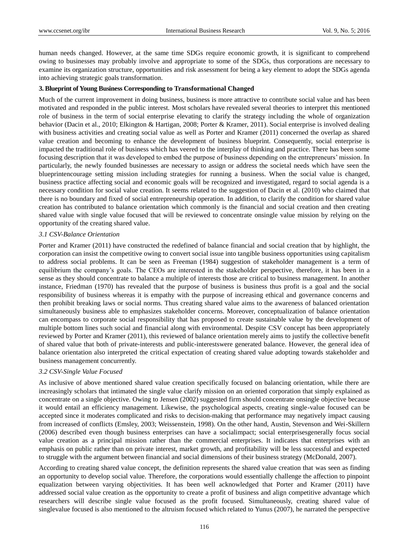human needs changed. However, at the same time SDGs require economic growth, it is significant to comprehend owing to businesses may probably involve and appropriate to some of the SDGs, thus corporations are necessary to examine its organization structure, opportunities and risk assessment for being a key element to adopt the SDGs agenda into achieving strategic goals transformation.

#### **3. Blueprint of Young Business Corresponding to Transformational Changed**

Much of the current improvement in doing business, business is more attractive to contribute social value and has been motivated and responded in the public interest. Most scholars have revealed several theories to interpret this mentioned role of business in the term of social enterprise elevating to clarify the strategy including the whole of organization behavior (Dacin et al., 2010; Elkington & Hartigan, 2008; Porter & Kramer, 2011). Social enterprise is involved dealing with business activities and creating social value as well as Porter and Kramer (2011) concerned the overlap as shared value creation and becoming to enhance the development of business blueprint. Consequently, social enterprise is impacted the traditional role of business which has veered to the interplay of thinking and practice. There has been some focusing description that it was developed to embed the purpose of business depending on the entrepreneurs' mission. In particularly, the newly founded businesses are necessary to assign or address the societal needs which have seen the blueprintencourage setting mission including strategies for running a business. When the social value is changed, business practice affecting social and economic goals will be recognized and investigated, regard to social agenda is a necessary condition for social value creation. It seems related to the suggestion of Dacin et al. (2010) who claimed that there is no boundary and fixed of social entrepreneurship operation. In addition, to clarify the condition for shared value creation has contributed to balance orientation which commonly is the financial and social creation and then creating shared value with single value focused that will be reviewed to concentrate onsingle value mission by relying on the opportunity of the creating shared value.

#### *3.1 CSV-Balance Orientation*

Porter and Kramer (2011) have constructed the redefined of balance financial and social creation that by highlight, the corporation can insist the competitive owing to convert social issue into tangible business opportunities using capitalism to address social problems. It can be seen as Freeman (1984) suggestion of stakeholder management is a term of equilibrium the company's goals. The CEOs are interested in the stakeholder perspective, therefore, it has been in a sense as they should concentrate to balance a multiple of interests those are critical to business management. In another instance, Friedman (1970) has revealed that the purpose of business is business thus profit is a goal and the social responsibility of business whereas it is empathy with the purpose of increasing ethical and governance concerns and then prohibit breaking laws or social norms. Thus creating shared value aims to the awareness of balanced orientation simultaneously business able to emphasizes stakeholder concerns. Moreover, conceptualization of balance orientation can encompass to corporate social responsibility that has proposed to create sustainable value by the development of multiple bottom lines such social and financial along with environmental. Despite CSV concept has been appropriately reviewed by Porter and Kramer (2011), this reviewed of balance orientation merely aims to justify the collective benefit of shared value that both of private-interests and public-interestswere generated balance. However, the general idea of balance orientation also interpreted the critical expectation of creating shared value adopting towards stakeholder and business management concurrently.

#### *3.2 CSV-Single Value Focused*

As inclusive of above mentioned shared value creation specifically focused on balancing orientation, while there are increasingly scholars that intimated the single value clarify mission on an oriented corporation that simply explained as concentrate on a single objective. Owing to Jensen (2002) suggested firm should concentrate onsingle objective because it would entail an efficiency management. Likewise, the psychological aspects, creating single-value focused can be accepted since it moderates complicated and risks to decision-making that performance may negatively impact causing from increased of conflicts (Emsley, 2003; Weissenstein, 1998). On the other hand, Austin, Stevenson and Wei-Skillern (2006) described even though business enterprises can have a socialimpact; social enterprisesgenerally focus social value creation as a principal mission rather than the commercial enterprises. It indicates that enterprises with an emphasis on public rather than on private interest, market growth, and profitability will be less successful and expected to struggle with the argument between financial and social dimensions of their business strategy (McDonald, 2007).

According to creating shared value concept, the definition represents the shared value creation that was seen as finding an opportunity to develop social value. Therefore, the corporations would essentially challenge the affection to pinpoint equalization between varying objectivities. It has been well acknowledged that Porter and Kramer (2011) have addressed social value creation as the opportunity to create a profit of business and align competitive advantage which researchers will describe single value focused as the profit focused. Simultaneously, creating shared value of singlevalue focused is also mentioned to the altruism focused which related to Yunus (2007), he narrated the perspective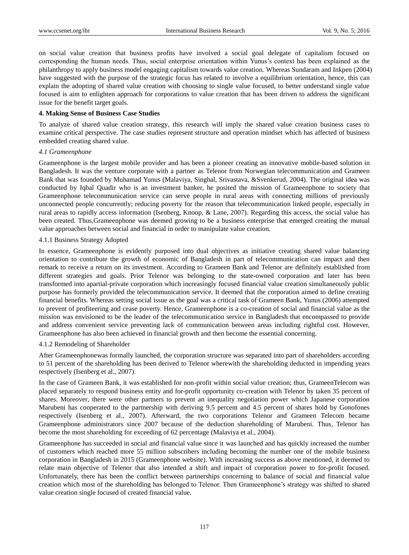on social value creation that business profits have involved a social goal delegate of capitalism focused on corresponding the human needs. Thus, social enterprise orientation within Yunus's context has been explained as the philanthropy to apply business model engaging capitalism towards value creation. Whereas Sundaram and Inkpen (2004) have suggested with the purpose of the strategic focus has related to involve a equilibrium orientation, hence, this can explain the adopting of shared value creation with choosing to single value focused, to better understand single value focused is aim to enlighten approach for corporations to value creation that has been driven to address the significant issue for the benefit target goals.

#### **4. Making Sense of Business Case Studies**

To analyze of shared value creation strategy, this research will imply the shared value creation business cases to examine critical perspective. The case studies represent structure and operation mindset which has affected of business embedded creating shared value.

## *4.1 Grameenphone*

Grameenphone is the largest mobile provider and has been a pioneer creating an innovative mobile-based solution in Bangladesh. It was the venture corporate with a partner as Telenor from Norwegian telecommunication and Grameen Bank that was founded by Muhamad Yunus (Malaviya, Singhal, Srivastava, &Svenkerud, 2004). The original idea was conducted by Iqbal Quadir who is an investment banker, he posited the mission of Grameenphone to society that Grameenphone telecommunication service can serve people in rural areas with connecting millions of previously unconnected people concurrently; reducing poverty for the reason that telecommunication linked people, especially in rural areas to rapidly access information (Isenberg, Knoop, & Lane, 2007). Regarding this access, the social value has been created. Thus,Grameenphone was deemed growing to be a business enterprise that emerged creating the mutual value approaches between social and financial in order to manipulate value creation.

## 4.1.1 Business Strategy Adopted

In essence, Grameenphone is evidently purposed into dual objectives as initiative creating shared value balancing orientation to contribute the growth of economic of Bangladesh in part of telecommunication can impact and then remark to receive a return on its investment. According to Grameen Bank and Telenor are definitely established from different strategies and goals. Prior Telenor was belonging to the state-owned corporation and later has been transformed into apartial-private corporation which increasingly focused financial value creation simultaneously public purpose has formerly provided the telecommunication service. It deemed that the corporation aimed to define creating financial benefits. Whereas setting social issue as the goal was a critical task of Grameen Bank, Yunus (2006) attempted to prevent of profiteering and cease poverty. Hence, Grameenphone is a co-creation of social and financial value as the mission was envisioned to be the leader of the telecommunication service in Bangladesh that encompassed to provide and address convenient service preventing lack of communication between areas including rightful cost. However, Grameenphone has also been achieved in financial growth and then become the essential concerning.

#### 4.1.2 Remodeling of Shareholder

After Grameenphonewas formally launched, the corporation structure was separated into part of shareholders according to 51 percent of the shareholding has been derived to Telenor wherewith the shareholding deducted in impending years respectively (Isenberg et al., 2007).

In the case of Grameen Bank, it was established for non-profit within social value creation; thus, GrameenTelecom was placed separately to respond business entity and for-profit opportunity co-creation with Telenor by taken 35 percent of shares. Moreover, there were other partners to prevent an inequality negotiation power which Japanese corporation Marubeni has cooperated to the partnership with deriving 9.5 percent and 4.5 percent of shares hold by Gonofones respectively (Isenberg et al., 2007). Afterward, the two corporations Telenor and Grameen Telecom became Grameenphone administrators since 2007 because of the deduction shareholding of Marubeni. Thus, Telenor has become the most shareholding for exceeding of 62 percentage (Malaviya et al., 2004).

Grameenphone has succeeded in social and financial value since it was launched and has quickly increased the number of customers which reached more 55 million subscribers including becoming the number one of the mobile business corporation in Bangladesh in 2015 (Grameenphone website). With increasing success as above mentioned, it deemed to relate main objective of Telenor that also intended a shift and impact of corporation power to for-profit focused. Unfortunately, there has been the conflict between partnerships concerning to balance of social and financial value creation which most of the shareholding has belonged to Telenor. Then Grameenphone's strategy was shifted to shared value creation single focused of created financial value.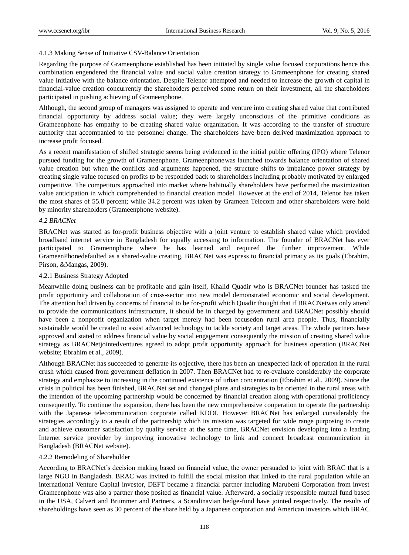## 4.1.3 Making Sense of Initiative CSV-Balance Orientation

Regarding the purpose of Grameenphone established has been initiated by single value focused corporations hence this combination engendered the financial value and social value creation strategy to Grameenphone for creating shared value initiative with the balance orientation. Despite Telenor attempted and needed to increase the growth of capital in financial-value creation concurrently the shareholders perceived some return on their investment, all the shareholders participated in pushing achieving of Grameenphone.

Although, the second group of managers was assigned to operate and venture into creating shared value that contributed financial opportunity by address social value; they were largely unconscious of the primitive conditions as Grameenphone has empathy to be creating shared value organization. It was according to the transfer of structure authority that accompanied to the personnel change. The shareholders have been derived maximization approach to increase profit focused.

As a recent manifestation of shifted strategic seems being evidenced in the initial public offering (IPO) where Telenor pursued funding for the growth of Grameenphone. Grameenphonewas launched towards balance orientation of shared value creation but when the conflicts and arguments happened, the structure shifts to imbalance power strategy by creating single value focused on profits to be responded back to shareholders including probably motivated by enlarged competitive. The competitors approached into market where habitually shareholders have performed the maximization value anticipation in which comprehended to financial creation model. However at the end of 2014, Telenor has taken the most shares of 55.8 percent; while 34.2 percent was taken by Grameen Telecom and other shareholders were hold by minority shareholders (Grameenphone website).

## *4.2 BRACNet*

BRACNet was started as for-profit business objective with a joint venture to establish shared value which provided broadband internet service in Bangladesh for equally accessing to information. The founder of BRACNet has ever participated to Gramennphone where he has learned and required the further improvement. While GrameenPhonedefaulted as a shared-value creating, BRACNet was express to financial primacy as its goals (Ebrahim, Pirson, &Mangas, 2009).

## 4.2.1 Business Strategy Adopted

Meanwhile doing business can be profitable and gain itself, Khalid Quadir who is BRACNet founder has tasked the profit opportunity and collaboration of cross-sector into new model demonstrated economic and social development. The attention had driven by concerns of financial to be for-profit which Quadir thought that if BRACNetwas only attend to provide the communications infrastructure, it should be in charged by government and BRACNet possibly should have been a nonprofit organization when target merely had been focusedon rural area people. Thus, financially sustainable would be created to assist advanced technology to tackle society and target areas. The whole partners have approved and stated to address financial value by social engagement consequently the mission of creating shared value strategy as BRACNetjointedventures agreed to adopt profit opportunity approach for business operation (BRACNet website; Ebrahim et al., 2009).

Although BRACNet has succeeded to generate its objective, there has been an unexpected lack of operation in the rural crush which caused from government deflation in 2007. Then BRACNet had to re-evaluate considerably the corporate strategy and emphasize to increasing in the continued existence of urban concentration (Ebrahim et al., 2009). Since the crisis in political has been finished, BRACNet set and changed plans and strategies to be oriented in the rural areas with the intention of the upcoming partnership would be concerned by financial creation along with operational proficiency consequently. To continue the expansion, there has been the new comprehensive cooperation to operate the partnership with the Japanese telecommunication corporate called KDDI. However BRACNet has enlarged considerably the strategies accordingly to a result of the partnership which its mission was targeted for wide range purposing to create and achieve customer satisfaction by quality service at the same time, BRACNet envision developing into a leading Internet service provider by improving innovative technology to link and connect broadcast communication in Bangladesh (BRACNet website).

#### 4.2.2 Remodeling of Shareholder

According to BRACNet's decision making based on financial value, the owner persuaded to joint with BRAC that is a large NGO in Bangladesh. BRAC was invited to fulfill the social mission that linked to the rural population while an international Venture Capital investor, DEFT became a financial partner including Marubeni Corporation from invest Grameenphone was also a partner those posited as financial value. Afterward, a socially responsible mutual fund based in the USA, Calvert and Brummer and Partners, a Scandinavian hedge-fund have jointed respectively. The results of shareholdings have seen as 30 percent of the share held by a Japanese corporation and American investors which BRAC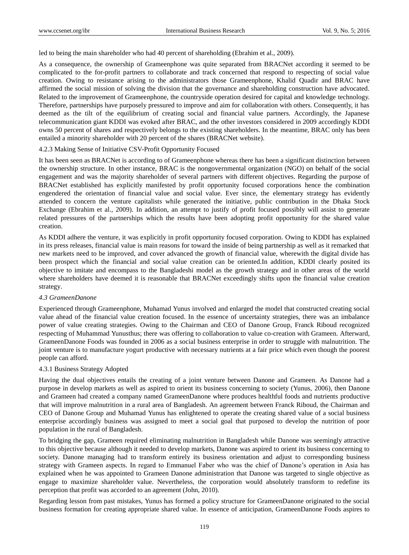led to being the main shareholder who had 40 percent of shareholding (Ebrahim et al., 2009).

As a consequence, the ownership of Grameenphone was quite separated from BRACNet according it seemed to be complicated to the for-profit partners to collaborate and track concerned that respond to respecting of social value creation. Owing to resistance arising to the administrators those Grameenphone, Khalid Quadir and BRAC have affirmed the social mission of solving the division that the governance and shareholding construction have advocated. Related to the improvement of Grameenphone, the countryside operation desired for capital and knowledge technology. Therefore, partnerships have purposely pressured to improve and aim for collaboration with others. Consequently, it has deemed as the tilt of the equilibrium of creating social and financial value partners. Accordingly, the Japanese telecommunication giant KDDI was evoked after BRAC, and the other investors considered in 2009 accordingly KDDI owns 50 percent of shares and respectively belongs to the existing shareholders. In the meantime, BRAC only has been entailed a minority shareholder with 20 percent of the shares (BRACNet website).

## 4.2.3 Making Sense of Initiative CSV-Profit Opportunity Focused

It has been seen as BRACNet is according to of Grameenphone whereas there has been a significant distinction between the ownership structure. In other instance, BRAC is the nongovernmental organization (NGO) on behalf of the social engagement and was the majority shareholder of several partners with different objectives. Regarding the purpose of BRACNet established has explicitly manifested by profit opportunity focused corporations hence the combination engendered the orientation of financial value and social value. Ever since, the elementary strategy has evidently attended to concern the venture capitalists while generated the initiative, public contribution in the Dhaka Stock Exchange (Ebrahim et al., 2009). In addition, an attempt to justify of profit focused possibly will assist to generate related pressures of the partnerships which the results have been adopting profit opportunity for the shared value creation.

As KDDI adhere the venture, it was explicitly in profit opportunity focused corporation. Owing to KDDI has explained in its press releases, financial value is main reasons for toward the inside of being partnership as well as it remarked that new markets need to be improved, and cover advanced the growth of financial value, wherewith the digital divide has been prospect which the financial and social value creation can be oriented.In addition, KDDI clearly posited its objective to imitate and encompass to the Bangladeshi model as the growth strategy and in other areas of the world where shareholders have deemed it is reasonable that BRACNet exceedingly shifts upon the financial value creation strategy.

#### *4.3 GrameenDanone*

Experienced through Grameenphone, Muhamad Yunus involved and enlarged the model that constructed creating social value ahead of the financial value creation focused. In the essence of uncertainty strategies, there was an imbalance power of value creating strategies. Owing to the Chairman and CEO of Danone Group, Franck Riboud recognized respecting of Muhammad Yunusthus; there was offering to collaboration to value co-creation with Grameen. Afterward, GrameenDanone Foods was founded in 2006 as a social business enterprise in order to struggle with malnutrition. The joint venture is to manufacture yogurt productive with necessary nutrients at a fair price which even though the poorest people can afford.

## 4.3.1 Business Strategy Adopted

Having the dual objectives entails the creating of a joint venture between Danone and Grameen. As Danone had a purpose in develop markets as well as aspired to orient its business concerning to society (Yunus, 2006), then Danone and Grameen had created a company named GrameenDanone where produces healthful foods and nutrients productive that will improve malnutrition in a rural area of Bangladesh. An agreement between Franck Riboud, the Chairman and CEO of Danone Group and Muhamad Yunus has enlightened to operate the creating shared value of a social business enterprise accordingly business was assigned to meet a social goal that purposed to develop the nutrition of poor population in the rural of Bangladesh.

To bridging the gap, Grameen required eliminating malnutrition in Bangladesh while Danone was seemingly attractive to this objective because although it needed to develop markets, Danone was aspired to orient its business concerning to society. Danone managing had to transform entirely its business orientation and adjust to corresponding business strategy with Grameen aspects. In regard to Emmanuel Faber who was the chief of Danone's operation in Asia has explained when he was appointed to Grameen Danone administration that Danone was targeted to single objective as engage to maximize shareholder value. Nevertheless, the corporation would absolutely transform to redefine its perception that profit was accorded to an agreement (John, 2010).

Regarding lesson from past mistakes, Yunus has formed a policy structure for GrameenDanone originated to the social business formation for creating appropriate shared value. In essence of anticipation, GrameenDanone Foods aspires to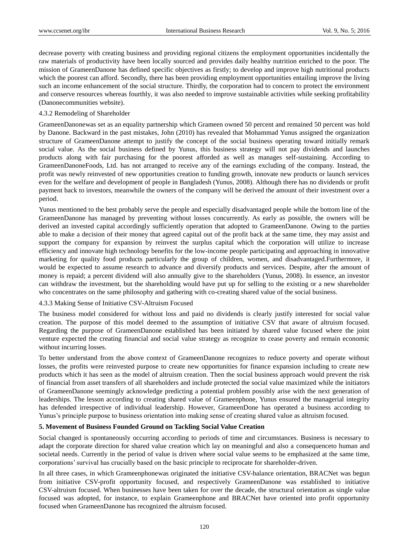decrease poverty with creating business and providing regional citizens the employment opportunities incidentally the raw materials of productivity have been locally sourced and provides daily healthy nutrition enriched to the poor. The mission of GrameenDanone has defined specific objectives as firstly; to develop and improve high nutritional products which the poorest can afford. Secondly, there has been providing employment opportunities entailing improve the living such an income enhancement of the social structure. Thirdly, the corporation had to concern to protect the environment and conserve resources whereas fourthly, it was also needed to improve sustainable activities while seeking profitability (Danonecommunities website).

## 4.3.2 Remodeling of Shareholder

GrameenDanonewas set as an equality partnership which Grameen owned 50 percent and remained 50 percent was hold by Danone. Backward in the past mistakes, John (2010) has revealed that Mohammad Yunus assigned the organization structure of GrameenDanone attempt to justify the concept of the social business operating toward initially remark social value. As the social business defined by Yunus, this business strategy will not pay dividends and launches products along with fair purchasing for the poorest afforded as well as manages self-sustaining. According to GrameenDanoneFoods, Ltd. has not arranged to receive any of the earnings excluding of the company. Instead, the profit was newly reinvested of new opportunities creation to funding growth, innovate new products or launch services even for the welfare and development of people in Bangladesh (Yunus, 2008). Although there has no dividends or profit payment back to investors, meanwhile the owners of the company will be derived the amount of their investment over a period.

Yunus mentioned to the best probably serve the people and especially disadvantaged people while the bottom line of the GrameenDanone has managed by preventing without losses concurrently. As early as possible, the owners will be derived an invested capital accordingly sufficiently operation that adopted to GrameenDanone. Owing to the parties able to make a decision of their money that agreed capital out of the profit back at the same time, they may assist and support the company for expansion by reinvest the surplus capital which the corporation will utilize to increase efficiency and innovate high technology benefits for the low-income people participating and approaching in innovative marketing for quality food products particularly the group of children, women, and disadvantaged.Furthermore, it would be expected to assume research to advance and diversify products and services. Despite, after the amount of money is repaid; a percent dividend will also annually give to the shareholders (Yunus, 2008). In essence, an investor can withdraw the investment, but the shareholding would have put up for selling to the existing or a new shareholder who concentrates on the same philosophy and gathering with co-creating shared value of the social business.

## 4.3.3 Making Sense of Initiative CSV-Altruism Focused

The business model considered for without loss and paid no dividends is clearly justify interested for social value creation. The purpose of this model deemed to the assumption of initiative CSV that aware of altruism focused. Regarding the purpose of GrameenDanone established has been initiated by shared value focused where the joint venture expected the creating financial and social value strategy as recognize to cease poverty and remain economic without incurring losses.

To better understand from the above context of GrameenDanone recognizes to reduce poverty and operate without losses, the profits were reinvested purpose to create new opportunities for finance expansion including to create new products which it has seen as the model of altruism creation. Then the social business approach would prevent the risk of financial from asset transfers of all shareholders and include protected the social value maximized while the initiators of GrameenDanone seemingly acknowledge predicting a potential problem possibly arise with the next generation of leaderships. The lesson according to creating shared value of Grameenphone, Yunus ensured the managerial integrity has defended irrespective of individual leadership. However, GrameenDone has operated a business according to Yunus's principle purpose to business orientation into making sense of creating shared value as altruism focused.

## **5. Movement of Business Founded Ground on Tackling Social Value Creation**

Social changed is spontaneously occurring according to periods of time and circumstances. Business is necessary to adapt the corporate direction for shared value creation which lay on meaningful and also a consequenceto human and societal needs. Currently in the period of value is driven where social value seems to be emphasized at the same time, corporations' survival has crucially based on the basic principle to reciprocate for shareholder-driven.

In all three cases, in which Grameenphonewas originated the initiative CSV-balance orientation, BRACNet was begun from initiative CSV-profit opportunity focused, and respectively GrameenDanone was established to initiative CSV-altruism focused. When businesses have been taken for over the decade, the structural orientation as single value focused was adopted, for instance, to explain Grameenphone and BRACNet have oriented into profit opportunity focused when GrameenDanone has recognized the altruism focused.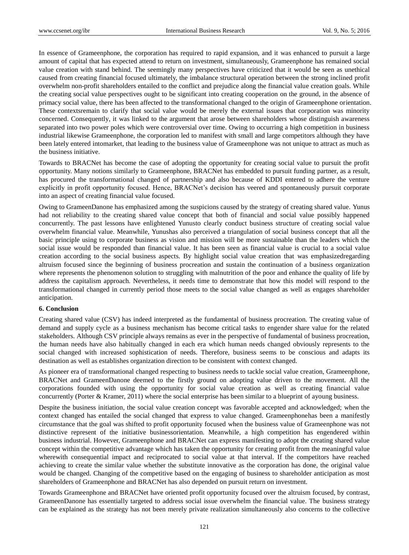In essence of Grameenphone, the corporation has required to rapid expansion, and it was enhanced to pursuit a large amount of capital that has expected attend to return on investment, simultaneously, Grameenphone has remained social value creation with stand behind. The seemingly many perspectives have criticized that it would be seen as unethical caused from creating financial focused ultimately, the imbalance structural operation between the strong inclined profit overwhelm non-profit shareholders entailed to the conflict and prejudice along the financial value creation goals. While the creating social value perspectives ought to be significant into creating cooperation on the ground, in the absence of primacy social value, there has been affected to the transformational changed to the origin of Grameenphone orientation. These contextsremain to clarify that social value would be merely the external issues that corporation was minority concerned. Consequently, it was linked to the argument that arose between shareholders whose distinguish awareness separated into two power poles which were controversial over time. Owing to occurring a high competition in business industrial likewise Grameenphone, the corporation led to manifest with small and large competitors although they have been lately entered intomarket, that leading to the business value of Grameenphone was not unique to attract as much as the business initiative.

Towards to BRACNet has become the case of adopting the opportunity for creating social value to pursuit the profit opportunity. Many notions similarly to Grameenphone, BRACNet has embedded to pursuit funding partner, as a result, has procured the transformational changed of partnership and also because of KDDI entered to adhere the venture explicitly in profit opportunity focused. Hence, BRACNet's decision has veered and spontaneously pursuit corporate into an aspect of creating financial value focused.

Owing to GrameenDanone has emphasized among the suspicions caused by the strategy of creating shared value. Yunus had not reliability to the creating shared value concept that both of financial and social value possibly happened concurrently. The past lessons have enlightened Yunusto clearly conduct business structure of creating social value overwhelm financial value. Meanwhile, Yunushas also perceived a triangulation of social business concept that all the basic principle using to corporate business as vision and mission will be more sustainable than the leaders which the social issue would be responded than financial value. It has been seen as financial value is crucial to a social value creation according to the social business aspects. By highlight social value creation that was emphasizedregarding altruism focused since the beginning of business procreation and sustain the continuation of a business organization where represents the phenomenon solution to struggling with malnutrition of the poor and enhance the quality of life by address the capitalism approach. Nevertheless, it needs time to demonstrate that how this model will respond to the transformational changed in currently period those meets to the social value changed as well as engages shareholder anticipation.

#### **6. Conclusion**

Creating shared value (CSV) has indeed interpreted as the fundamental of business procreation. The creating value of demand and supply cycle as a business mechanism has become critical tasks to engender share value for the related stakeholders. Although CSV principle always remains as ever in the perspective of fundamental of business procreation, the human needs have also habitually changed in each era which human needs changed obviously represents to the social changed with increased sophistication of needs. Therefore, business seems to be conscious and adapts its destination as well as establishes organization direction to be consistent with context changed.

As pioneer era of transformational changed respecting to business needs to tackle social value creation, Grameenphone, BRACNet and GrameenDanone deemed to the firstly ground on adopting value driven to the movement. All the corporations founded with using the opportunity for social value creation as well as creating financial value concurrently (Porter & Kramer, 2011) where the social enterprise has been similar to a blueprint of ayoung business.

Despite the business initiation, the social value creation concept was favorable accepted and acknowledged; when the context changed has entailed the social changed that express to value changed. Grameenphonehas been a manifestly circumstance that the goal was shifted to profit opportunity focused when the business value of Grameenphone was not distinctive represent of the initiative businessorientation. Meanwhile, a high competition has engendered within business industrial. However, Grameenphone and BRACNet can express manifesting to adopt the creating shared value concept within the competitive advantage which has taken the opportunity for creating profit from the meaningful value wherewith consequential impact and reciprocated to social value at that interval. If the competitors have reached achieving to create the similar value whether the substitute innovative as the corporation has done, the original value would be changed. Changing of the competitive based on the engaging of business to shareholder anticipation as most shareholders of Grameenphone and BRACNet has also depended on pursuit return on investment.

Towards Grameenphone and BRACNet have oriented profit opportunity focused over the altruism focused, by contrast, GrameenDanone has essentially targeted to address social issue overwhelm the financial value. The business strategy can be explained as the strategy has not been merely private realization simultaneously also concerns to the collective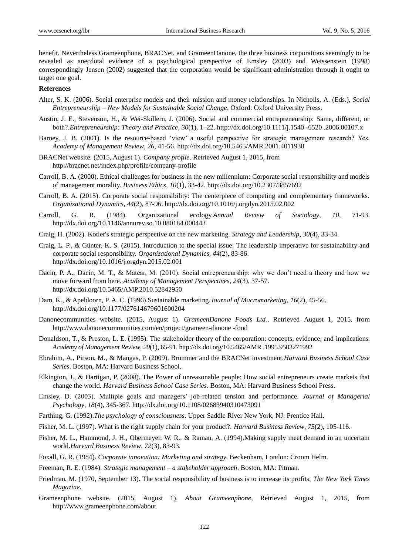benefit. Nevertheless Grameenphone, BRACNet, and GrameenDanone, the three business corporations seemingly to be revealed as anecdotal evidence of a psychological perspective of Emsley (2003) and Weissenstein (1998) correspondingly Jensen (2002) suggested that the corporation would be significant administration through it ought to target one goal.

## **References**

- Alter, S. K. (2006). Social enterprise models and their mission and money relationships. In Nicholls, A. (Eds.), *Social Entrepreneurship – New Models for Sustainable Social Change*, Oxford: Oxford University Press.
- Austin, J. E., Stevenson, H., & Wei-Skillern, J. (2006). Social and commercial entrepreneurship: Same, different, or both?.*Entrepreneurship: Theory and Practice*, *30*(1), 1–22. http://dx.doi.org/10.1111/j.1540 -6520 .2006.00107.x
- Barney, J. B. (2001). Is the resource-based 'view' a useful perspective for strategic management research? Yes. *Academy of Management Review*, *26*, 41-56. http://dx.doi.org/10.5465/AMR.2001.4011938
- BRACNet website. (2015, August 1). *Company profile*. Retrieved August 1, 2015, from http://bracnet.net/index.php/profile/company-profile
- Carroll, B. A. (2000). Ethical challenges for business in the new millennium: Corporate social responsibility and models of management morality. *Business Ethics*, *10*(1), 33-42. http://dx.doi.org/10.2307/3857692
- Carroll, B. A. (2015). Corporate social responsibility: The centerpiece of competing and complementary frameworks. *Organizational Dynamics*, *44*(2), 87-96. http://dx.doi.org/10.1016/j.orgdyn.2015.02.002
- Carroll, G. R. (1984). Organizational ecology.*Annual Review of Sociology*, *10*, 71-93. http://dx.doi.org/10.1146/annurev.so.10.080184.000443
- Craig, H. (2002). Kotler's strategic perspective on the new marketing. *Strategy and Leadership*, *30*(4), 33-34.
- Craig, L. P., & Günter, K. S. (2015). Introduction to the special issue: The leadership imperative for sustainability and corporate social responsibility. *Organizational Dynamics*, *44*(2), 83-86. http://dx.doi.org/10.1016/j.orgdyn.2015.02.001
- Dacin, P. A., Dacin, M. T., & Matear, M. (2010). Social entrepreneurship: why we don't need a theory and how we move forward from here. *Academy of Management Perspectives*, *24*(3), 37-57. http://dx.doi.org/10.5465/AMP.2010.52842950
- Dam, K., & Apeldoorn, P. A. C. (1996).Sustainable marketing.*Journal of Macromarketing*, *16*(2), 45-56. http://dx.doi.org/10.1177/027614679601600204
- Danonecommunities website. (2015, August 1). *GrameenDanone Foods Ltd.*, Retrieved August 1, 2015, from http://www.danonecommunities.com/en/project/grameen-danone -food
- Donaldson, T., & Preston, L. E. (1995). The stakeholder theory of the corporation: concepts, evidence, and implications. *Academy of Management Review*, *20*(1), 65-91. http://dx.doi.org/10.5465/AMR .1995.9503271992
- Ebrahim, A., Pirson, M., & Mangas, P. (2009). Brummer and the BRACNet investment.*Harvard Business School Case Series*. Boston, MA: Harvard Business School.
- Elkington, J., & Hartigan, P. (2008). The Power of unreasonable people: How social entrepreneurs create markets that change the world. *Harvard Business School Case Series*. Boston, MA: Harvard Business School Press.
- Emsley, D. (2003). Multiple goals and managers' job-related tension and performance. *Journal of Managerial Psychology*, *18*(4), 345-367. http://dx.doi.org/10.1108/02683940310473091
- Farthing, G. (1992).*The psychology of consciousness*. Upper Saddle River New York, NJ: Prentice Hall.
- Fisher, M. L. (1997). What is the right supply chain for your product?. *Harvard Business Review*, *75*(2), 105-116.
- Fisher, M. L., Hammond, J. H., Obermeyer, W. R., & Raman, A. (1994).Making supply meet demand in an uncertain world.*Harvard Business Review*, *72*(3), 83-93.
- Foxall, G. R. (1984). *Corporate innovation: Marketing and strategy*. Beckenham, London: Croom Helm.
- Freeman, R. E. (1984). *Strategic management – a stakeholder approach*. Boston, MA: Pitman.
- Friedman, M. (1970, September 13). The social responsibility of business is to increase its profits. *The New York Times Magazine*.
- Grameenphone website. (2015, August 1). *About Grameenphone*, Retrieved August 1, 2015, from http://www.grameenphone.com/about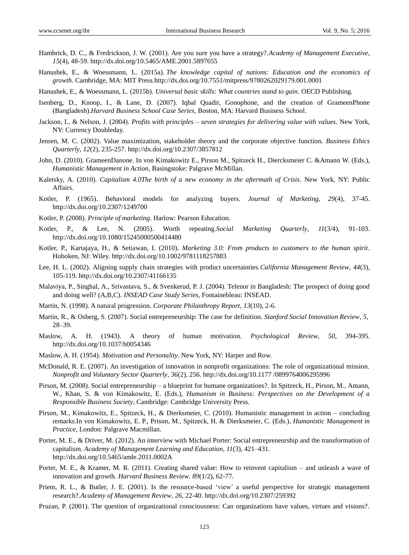- Hambrick, D. C., & Fredrickson, J. W. (2001). Are you sure you have a strategy?.*Academy of Management Executive*, *15*(4), 48-59. http://dx.doi.org/10.5465/AME.2001.5897655
- Hanushek, E., & Woessmann, L. (2015a). *The knowledge capital of nations: Education and the economics of growth*. Cambridge, MA: MIT Press[.http://dx.doi.org/10.7551/mitpress/9780262029179.001.0001](http://dx.doi.org/10.7551/mitpress/9780262029179.001.0001)

Hanushek, E., & Woessmann, L. (2015b). *Universal basic skills: What countries stand to gain*. OECD Publishing.

- Isenberg, D., Knoop, I., & Lane, D. (2007). Iqbal Quadir, Gonophone, and the creation of GrameenPhone (Bangladesh).*Harvard Business School Case Series*, Boston, MA: Harvard Business School.
- Jackson, I., & Nelson, J. (2004). *Profits with principles – seven strategies for delivering value with values*. New York, NY: Currency Doubleday.
- Jensen, M. C. (2002). Value maximization, stakeholder theory and the corporate objective function. *Business Ethics Quarterly*, *12*(2), 235-257. http://dx.doi.org/10.2307/3857812
- John, D. (2010). GrameenDanone. In von Kimakowitz E., Pirson M., Spitzeck H., Diercksmeier C. &Amann W. (Eds.), *Humanistic Management in Action*, Basingstoke: Palgrave McMillan.
- Kaletsky, A. (2010). *Capitalism 4.0The birth of a new economy in the aftermath of Crisis*. New York, NY: Public Affairs.
- Kotler, P. (1965). Behavioral models for analyzing buyers. *Journal of Marketing*, *29*(4), 37-45. http://dx.doi.org/10.2307/1249700
- Kotler, P. (2008). *Principle of marketing*. Harlow: Pearson Education.
- Kotler, P., & Lee, N. (2005). Worth repeating.*Social Marketing Quarterly*, *11*(3/4), 91-103. http://dx.doi.org/10.1080/15245000500414480
- Kotler, P., Kartajaya, H., & Setiawan, I. (2010). *Marketing 3.0: From products to customers to the human spirit*. Hoboken, NJ: Wiley.<http://dx.doi.org/10.1002/9781118257883>
- Lee, H. L. (2002). Aligning supply chain strategies with product uncertainties.*California Management Review*, *44*(3), 105-119. http://dx.doi.org/10.2307/41166135
- Malaviya, P., Singhal, A., Srivastava, S., & Svenkerud, P. J. (2004). Telenor in Bangladesh: The prospect of doing good and doing well? (A,B,C). *INSEAD Case Study Series*, Fontainebleau: INSEAD.
- Martin, N. (1998). A natural progression. *Corporate Philanthropy Report*, *13*(10), 2-6.
- Martin, R., & Osberg, S. (2007). Social entrepreneurship: The case for definition. *Stanford Social Innovation Review*, *5*, 28–39.
- Maslow, A. H. (1943). A theory of human motivation. *Psychological Review*, *50*, 394-395. http://dx.doi.org/10.1037/h0054346
- Maslow, A. H. (1954). *Motivation and Personality*. New York, NY: Harper and Row.
- McDonald, R. E. (2007). An investigation of innovation in nonprofit organizations: The role of organizational mission. *Nonprofit and Voluntary Sector Quarterly*, *36*(2), 256. http://dx.doi.org/10.1177 /0899764006295996
- Pirson, M. (2008). Social entrepreneurship a blueprint for humane organizations?. In Spitzeck, H., Pirson, M., Amann, W., Khan, S. & von Kimakowitz, E. (Eds.), *Humanism in Business: Perspectives on the Development of a Responsible Business Society*, Cambridge: Cambridge University Press.
- Pirson, M., Kimakowitz, E., Spitzeck, H., & Dierksmeier, C. (2010). Humanistic management in action concluding remarks.In von Kimakowitz, E. P., Prison, M., Spitzeck, H. & Dierksmeier, C. (Eds.), *Humanistic Management in Practice*, London: Palgrave Macmillan.
- Porter, M. E., & Driver, M. (2012). An interview with Michael Porter: Social entrepreneurship and the transformation of capitalism. *Academy of Management Learning and Education*, *11*(3), 421–431. http://dx.doi.org/10.5465/amle.2011.0002A
- Porter, M. E., & Kramer, M. R. (2011). Creating shared value: How to reinvent capitalism and unleash a wave of innovation and growth. *Harvard Business Review*. *89*(1/2), 62-77.
- Priem, R. L., & Butler, J. E. (2001). Is the resource-based 'view' a useful perspective for strategic management research?.*Academy of Management Review*, *26*, 22-40. http://dx.doi.org/10.2307/259392
- Pruzan, P. (2001). The question of organizational consciousness: Can organizations have values, virtues and visions?.